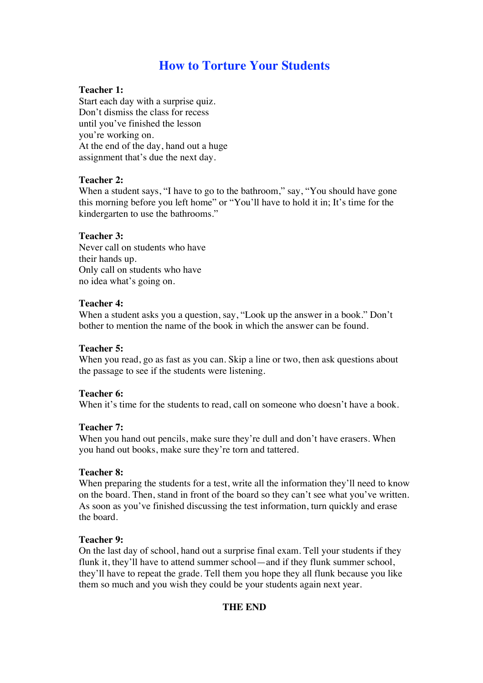# **How to Torture Your Students**

## **Teacher 1:**

Start each day with a surprise quiz. Don't dismiss the class for recess until you've finished the lesson you're working on. At the end of the day, hand out a huge assignment that's due the next day.

## **Teacher 2:**

When a student says, "I have to go to the bathroom," say, "You should have gone this morning before you left home" or "You'll have to hold it in; It's time for the kindergarten to use the bathrooms."

## **Teacher 3:**

Never call on students who have their hands up. Only call on students who have no idea what's going on.

#### **Teacher 4:**

When a student asks you a question, say, "Look up the answer in a book." Don't bother to mention the name of the book in which the answer can be found.

#### **Teacher 5:**

When you read, go as fast as you can. Skip a line or two, then ask questions about the passage to see if the students were listening.

#### **Teacher 6:**

When it's time for the students to read, call on someone who doesn't have a book.

#### **Teacher 7:**

When you hand out pencils, make sure they're dull and don't have erasers. When you hand out books, make sure they're torn and tattered.

#### **Teacher 8:**

When preparing the students for a test, write all the information they'll need to know on the board. Then, stand in front of the board so they can't see what you've written. As soon as you've finished discussing the test information, turn quickly and erase the board.

#### **Teacher 9:**

On the last day of school, hand out a surprise final exam. Tell your students if they flunk it, they'll have to attend summer school—and if they flunk summer school, they'll have to repeat the grade. Tell them you hope they all flunk because you like them so much and you wish they could be your students again next year.

## **THE END**